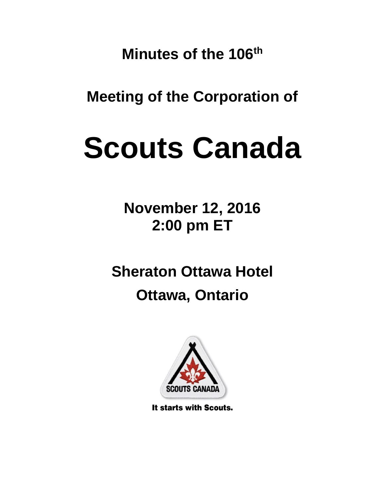**Minutes of the 106th**

**Meeting of the Corporation of**

# **Scouts Canada**

**November 12, 2016 2:00 pm ET**

**Sheraton Ottawa Hotel**

# **Ottawa, Ontario**



It starts with Scouts.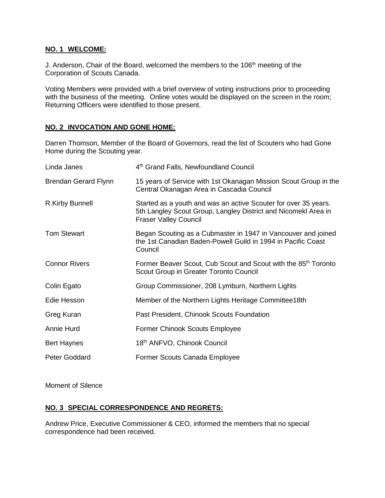# **NO. 1 WELCOME:**

J. Anderson, Chair of the Board, welcomed the members to the 106<sup>th</sup> meeting of the Corporation of Scouts Canada.

Voting Members were provided with a brief overview of voting instructions prior to proceeding with the business of the meeting. Online votes would be displayed on the screen in the room; Returning Officers were identified to those present.

# **NO. 2 INVOCATION AND GONE HOME:**

Darren Thomson, Member of the Board of Governors, read the list of Scouters who had Gone Home during the Scouting year.

| Linda Janes                 | 4th Grand Falls, Newfoundland Council                                                                                                                             |  |
|-----------------------------|-------------------------------------------------------------------------------------------------------------------------------------------------------------------|--|
| <b>Brendan Gerard Flynn</b> | 15 years of Service with 1st Okanagan Mission Scout Group in the<br>Central Okanagan Area in Cascadia Council                                                     |  |
| R.Kirby Bunnell             | Started as a youth and was an active Scouter for over 35 years.<br>5th Langley Scout Group, Langley District and Nicomekl Area in<br><b>Fraser Valley Council</b> |  |
| <b>Tom Stewart</b>          | Began Scouting as a Cubmaster in 1947 in Vancouver and joined<br>the 1st Canadian Baden-Powell Guild in 1994 in Pacific Coast<br>Council                          |  |
| <b>Connor Rivers</b>        | Former Beaver Scout, Cub Scout and Scout with the 85 <sup>th</sup> Toronto<br>Scout Group in Greater Toronto Council                                              |  |
| Colin Egato                 | Group Commissioner, 208 Lymburn, Northern Lights                                                                                                                  |  |
| Edie Hesson                 | Member of the Northern Lights Heritage Committee18th                                                                                                              |  |
| Greg Kuran                  | Past President, Chinook Scouts Foundation                                                                                                                         |  |
| Annie Hurd                  | <b>Former Chinook Scouts Employee</b>                                                                                                                             |  |
| <b>Bert Haynes</b>          | 18th ANFVO, Chinook Council                                                                                                                                       |  |
| Peter Goddard               | Former Scouts Canada Employee                                                                                                                                     |  |

Moment of Silence

# **NO. 3 SPECIAL CORRESPONDENCE AND REGRETS:**

Andrew Price, Executive Commissioner & CEO, informed the members that no special correspondence had been received.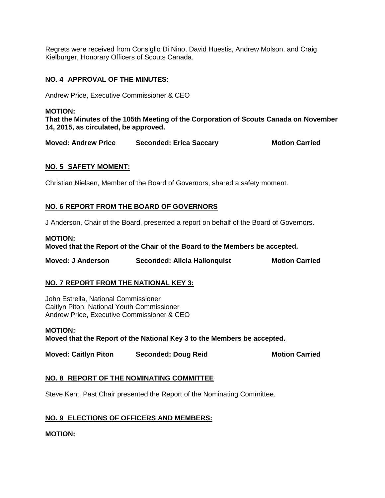Regrets were received from Consiglio Di Nino, David Huestis, Andrew Molson, and Craig Kielburger, Honorary Officers of Scouts Canada.

# **NO. 4 APPROVAL OF THE MINUTES:**

Andrew Price, Executive Commissioner & CEO

# **MOTION:**

**That the Minutes of the 105th Meeting of the Corporation of Scouts Canada on November 14, 2015, as circulated, be approved.**

**Moved: Andrew Price Seconded: Erica Saccary Motion Carried** 

# **NO. 5 SAFETY MOMENT:**

Christian Nielsen, Member of the Board of Governors, shared a safety moment.

# **NO. 6 REPORT FROM THE BOARD OF GOVERNORS**

J Anderson, Chair of the Board, presented a report on behalf of the Board of Governors.

# **MOTION: Moved that the Report of the Chair of the Board to the Members be accepted.**

| <b>Moved: J Anderson</b> | <b>Seconded: Alicia Hallonquist</b> | <b>Motion Carried</b> |
|--------------------------|-------------------------------------|-----------------------|
|--------------------------|-------------------------------------|-----------------------|

# **NO. 7 REPORT FROM THE NATIONAL KEY 3:**

John Estrella, National Commissioner Caitlyn Piton, National Youth Commissioner Andrew Price, Executive Commissioner & CEO

**MOTION: Moved that the Report of the National Key 3 to the Members be accepted.** 

**Moved: Caitlyn Piton Seconded: Doug Reid Motion Carried** 

# **NO. 8 REPORT OF THE NOMINATING COMMITTEE**

Steve Kent, Past Chair presented the Report of the Nominating Committee.

# **NO. 9 ELECTIONS OF OFFICERS AND MEMBERS:**

### **MOTION:**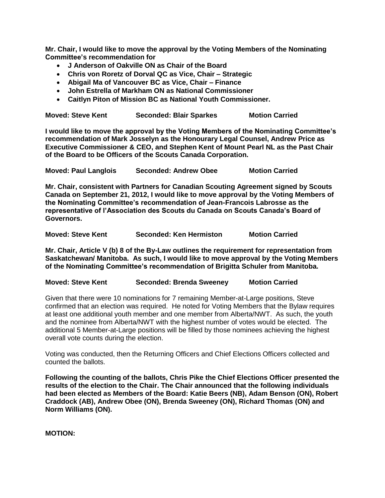**Mr. Chair, I would like to move the approval by the Voting Members of the Nominating Committee's recommendation for**

- **J Anderson of Oakville ON as Chair of the Board**
- **Chris von Roretz of Dorval QC as Vice, Chair – Strategic**
- **Abigail Ma of Vancouver BC as Vice, Chair – Finance**
- **John Estrella of Markham ON as National Commissioner**
- **Caitlyn Piton of Mission BC as National Youth Commissioner.**

**Moved: Steve Kent Seconded: Blair Sparkes Motion Carried**

**I would like to move the approval by the Voting Members of the Nominating Committee's recommendation of Mark Josselyn as the Honourary Legal Counsel, Andrew Price as Executive Commissioner & CEO, and Stephen Kent of Mount Pearl NL as the Past Chair of the Board to be Officers of the Scouts Canada Corporation.** 

**Moved: Paul Langlois Seconded: Andrew Obee Motion Carried** 

**Mr. Chair, consistent with Partners for Canadian Scouting Agreement signed by Scouts Canada on September 21, 2012, I would like to move approval by the Voting Members of the Nominating Committee's recommendation of Jean-Francois Labrosse as the representative of l'Association des Scouts du Canada on Scouts Canada's Board of Governors.**

**Moved: Steve Kent Seconded: Ken Hermiston Motion Carried** 

**Mr. Chair, Article V (b) 8 of the By-Law outlines the requirement for representation from Saskatchewan/ Manitoba. As such, I would like to move approval by the Voting Members of the Nominating Committee's recommendation of Brigitta Schuler from Manitoba.**

**Moved: Steve Kent Seconded: Brenda Sweeney Motion Carried** 

Given that there were 10 nominations for 7 remaining Member-at-Large positions, Steve confirmed that an election was required. He noted for Voting Members that the Bylaw requires at least one additional youth member and one member from Alberta/NWT. As such, the youth and the nominee from Alberta/NWT with the highest number of votes would be elected. The additional 5 Member-at-Large positions will be filled by those nominees achieving the highest overall vote counts during the election.

Voting was conducted, then the Returning Officers and Chief Elections Officers collected and counted the ballots.

**Following the counting of the ballots, Chris Pike the Chief Elections Officer presented the results of the election to the Chair. The Chair announced that the following individuals had been elected as Members of the Board: Katie Beers (NB), Adam Benson (ON), Robert Craddock (AB), Andrew Obee (ON), Brenda Sweeney (ON), Richard Thomas (ON) and Norm Williams (ON).** 

**MOTION:**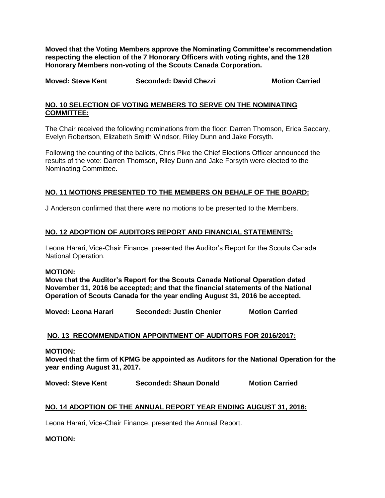**Moved that the Voting Members approve the Nominating Committee's recommendation respecting the election of the 7 Honorary Officers with voting rights, and the 128 Honorary Members non-voting of the Scouts Canada Corporation.** 

**Moved: Steve Kent Seconded: David Chezzi Motion Carried** 

# **NO. 10 SELECTION OF VOTING MEMBERS TO SERVE ON THE NOMINATING COMMITTEE:**

The Chair received the following nominations from the floor: Darren Thomson, Erica Saccary, Evelyn Robertson, Elizabeth Smith Windsor, Riley Dunn and Jake Forsyth.

Following the counting of the ballots, Chris Pike the Chief Elections Officer announced the results of the vote: Darren Thomson, Riley Dunn and Jake Forsyth were elected to the Nominating Committee.

# **NO. 11 MOTIONS PRESENTED TO THE MEMBERS ON BEHALF OF THE BOARD:**

J Anderson confirmed that there were no motions to be presented to the Members.

# **NO. 12 ADOPTION OF AUDITORS REPORT AND FINANCIAL STATEMENTS:**

Leona Harari, Vice-Chair Finance, presented the Auditor's Report for the Scouts Canada National Operation.

### **MOTION:**

**Move that the Auditor's Report for the Scouts Canada National Operation dated November 11, 2016 be accepted; and that the financial statements of the National Operation of Scouts Canada for the year ending August 31, 2016 be accepted.**

**Moved: Leona Harari Seconded: Justin Chenier Motion Carried**

# **NO. 13 RECOMMENDATION APPOINTMENT OF AUDITORS FOR 2016/2017:**

**MOTION:**

**Moved that the firm of KPMG be appointed as Auditors for the National Operation for the year ending August 31, 2017.**

**Moved: Steve Kent Seconded: Shaun Donald Motion Carried** 

# **NO. 14 ADOPTION OF THE ANNUAL REPORT YEAR ENDING AUGUST 31, 2016:**

Leona Harari, Vice-Chair Finance, presented the Annual Report.

**MOTION:**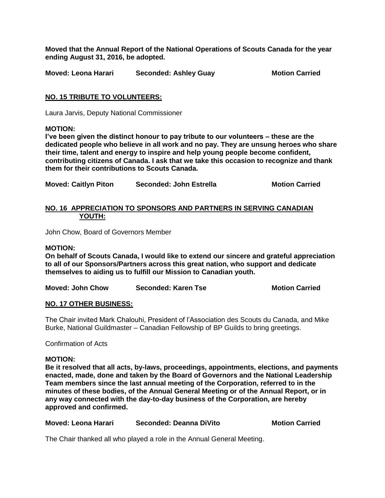**Moved that the Annual Report of the National Operations of Scouts Canada for the year ending August 31, 2016, be adopted.**

**Moved: Leona Harari Seconded: Ashley Guay Motion Carried**

# **NO. 15 TRIBUTE TO VOLUNTEERS:**

Laura Jarvis, Deputy National Commissioner

# **MOTION:**

**I've been given the distinct honour to pay tribute to our volunteers – these are the dedicated people who believe in all work and no pay. They are unsung heroes who share their time, talent and energy to inspire and help young people become confident, contributing citizens of Canada. I ask that we take this occasion to recognize and thank them for their contributions to Scouts Canada.**

**Moved: Caitlyn Piton Seconded: John Estrella Motion Carried** 

# **NO. 16 APPRECIATION TO SPONSORS AND PARTNERS IN SERVING CANADIAN YOUTH:**

John Chow, Board of Governors Member

# **MOTION:**

**On behalf of Scouts Canada, I would like to extend our sincere and grateful appreciation to all of our Sponsors/Partners across this great nation, who support and dedicate themselves to aiding us to fulfill our Mission to Canadian youth.**

**Moved: John Chow Seconded: Karen Tse Motion Carried** 

# **NO. 17 OTHER BUSINESS:**

The Chair invited Mark Chalouhi, President of l'Association des Scouts du Canada, and Mike Burke, National Guildmaster – Canadian Fellowship of BP Guilds to bring greetings.

Confirmation of Acts

### **MOTION:**

**Be it resolved that all acts, by-laws, proceedings, appointments, elections, and payments enacted, made, done and taken by the Board of Governors and the National Leadership Team members since the last annual meeting of the Corporation, referred to in the minutes of these bodies, of the Annual General Meeting or of the Annual Report, or in any way connected with the day-to-day business of the Corporation, are hereby approved and confirmed.**

| Moved: Leona Harari | Seconded: Deanna DiVito | <b>Motion Carried</b> |
|---------------------|-------------------------|-----------------------|
|                     |                         |                       |

The Chair thanked all who played a role in the Annual General Meeting.